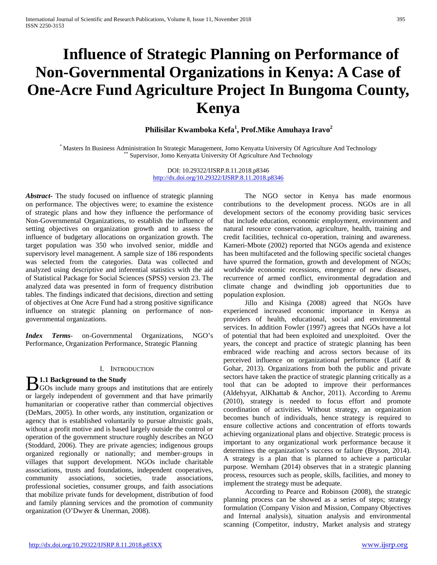# **Influence of Strategic Planning on Performance of Non-Governmental Organizations in Kenya: A Case of One-Acre Fund Agriculture Project In Bungoma County, Kenya**

# **Philisilar Kwamboka Kefa<sup>1</sup> , Prof.Mike Amuhaya Iravo<sup>2</sup>**

\* Masters In Business Administration In Strategic Management, Jomo Kenyatta University Of Agriculture And Technology \*\* Supervisor, Jomo Kenyatta University Of Agriculture And Technology

DOI: 10.29322/IJSRP.8.11.2018.p8346 <http://dx.doi.org/10.29322/IJSRP.8.11.2018.p8346>

*Abstract***-** The study focused on influence of strategic planning on performance. The objectives were; to examine the existence of strategic plans and how they influence the performance of Non-Governmental Organizations, to establish the influence of setting objectives on organization growth and to assess the influence of budgetary allocations on organization growth. The target population was 350 who involved senior, middle and supervisory level management. A sample size of 186 respondents was selected from the categories. Data was collected and analyzed using descriptive and inferential statistics with the aid of Statistical Package for Social Sciences (SPSS) version 23. The analyzed data was presented in form of frequency distribution tables. The findings indicated that decisions, direction and setting of objectives at One Acre Fund had a strong positive significance influence on strategic planning on performance of nongovernmental organizations.

*Index Terms*- on-Governmental Organizations, NGO's Performance, Organization Performance, Strategic Planning

#### I. INTRODUCTION

# **1.1 Background to the Study**

**B** 1.1 Background to the Study<br>GOs include many groups and institutions that are entirely or largely independent of government and that have primarily humanitarian or cooperative rather than commercial objectives (DeMars, 2005). In other words, any institution, organization or agency that is established voluntarily to pursue altruistic goals, without a profit motive and is based largely outside the control or operation of the government structure roughly describes an NGO (Stoddard, 2006). They are private agencies; indigenous groups organized regionally or nationally; and member-groups in villages that support development. NGOs include charitable associations, trusts and foundations, independent cooperatives, community associations, societies, trade associations, professional societies, consumer groups, and faith associations that mobilize private funds for development, distribution of food and family planning services and the promotion of community organization (O'Dwyer & Unerman, 2008).

 The NGO sector in Kenya has made enormous contributions to the development process. NGOs are in all development sectors of the economy providing basic services that include education, economic employment, environment and natural resource conservation, agriculture, health, training and credit facilities, technical co-operation, training and awareness. Kameri-Mbote (2002) reported that NGOs agenda and existence has been multifaceted and the following specific societal changes have spurred the formation, growth and development of NGOs; worldwide economic recessions, emergence of new diseases, recurrence of armed conflict, environmental degradation and climate change and dwindling job opportunities due to population explosion.

 Jillo and Kisinga (2008) agreed that NGOs have experienced increased economic importance in Kenya as providers of health, educational, social and environmental services. In addition Fowler (1997) agrees that NGOs have a lot of potential that had been exploited and unexploited. Over the years, the concept and practice of strategic planning has been embraced wide reaching and across sectors because of its perceived influence on organizational performance (Latif & Gohar, 2013). Organizations from both the public and private sectors have taken the practice of strategic planning critically as a tool that can be adopted to improve their performances (Aldehyyat, AlKhattab & Anchor, 2011). According to Aremu (2010), strategy is needed to focus effort and promote coordination of activities. Without strategy, an organization becomes bunch of individuals, hence strategy is required to ensure collective actions and concentration of efforts towards achieving organizational plans and objective. Strategic process is important to any organizational work performance because it determines the organization's success or failure (Bryson, 2014). A strategy is a plan that is planned to achieve a particular purpose. Wernham (2014) observes that in a strategic planning process, resources such as people, skills, facilities, and money to implement the strategy must be adequate.

 According to Pearce and Robinson (2008), the strategic planning process can be showed as a series of steps; strategy formulation (Company Vision and Mission, Company Objectives and Internal analysis), situation analysis and environmental scanning (Competitor, industry, Market analysis and strategy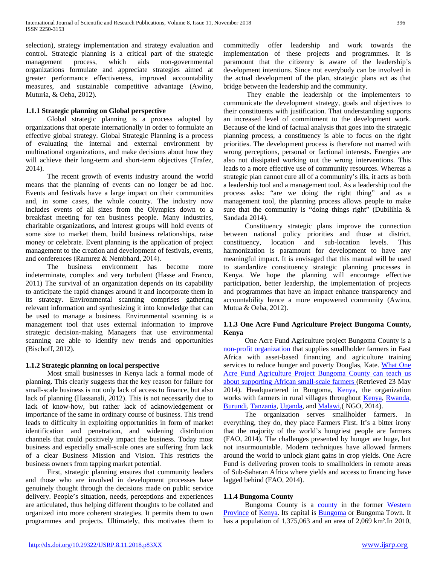selection), strategy implementation and strategy evaluation and control. Strategic planning is a critical part of the strategic management process, which aids non-governmental organizations formulate and appreciate strategies aimed at greater performance effectiveness, improved accountability measures, and sustainable competitive advantage (Awino, Muturia, & Oeba, 2012).

# **1.1.1 Strategic planning on Global perspective**

 Global strategic planning is a process adopted by organizations that operate internationally in order to formulate an effective global strategy. Global Strategic Planning is a process of evaluating the internal and external environment by multinational organizations, and make decisions about how they will achieve their long-term and short-term objectives (Trafez, 2014).

 The recent growth of events industry around the world means that the planning of events can no longer be ad hoc. Events and festivals have a large impact on their communities and, in some cases, the whole country. The industry now includes events of all sizes from the Olympics down to a breakfast meeting for ten business people. Many industries, charitable organizations, and interest groups will hold events of some size to market them, build business relationships, raise money or celebrate. Event planning is the application of project management to the creation and development of festivals, events, and conferences (Ramırez & Nembhard, 2014).

 The business environment has become more indeterminate, complex and very turbulent (Hasse and Franco, 2011) The survival of an organization depends on its capability to anticipate the rapid changes around it and incorporate them in its strategy. Environmental scanning comprises gathering relevant information and synthesizing it into knowledge that can be used to manage a business. Environmental scanning is a management tool that uses external information to improve strategic decision-making Managers that use environmental scanning are able to identify new trends and opportunities (Bischoff, 2012).

# **1.1.2 Strategic planning on local perspective**

 Most small businesses in Kenya lack a formal mode of planning. This clearly suggests that the key reason for failure for small-scale business is not only lack of access to finance, but also lack of planning (Hassanali, 2012). This is not necessarily due to lack of know-how, but rather lack of acknowledgement or importance of the same in ordinary course of business. This trend leads to difficulty in exploiting opportunities in form of market identification and penetration, and widening distribution channels that could positively impact the business. Today most business and especially small-scale ones are suffering from lack of a clear Business Mission and Vision. This restricts the business owners from tapping market potential.

 First, strategic planning ensures that community leaders and those who are involved in development processes have genuinely thought through the decisions made on public service delivery. People's situation, needs, perceptions and experiences are articulated, thus helping different thoughts to be collated and organized into more coherent strategies. It permits them to own programmes and projects. Ultimately, this motivates them to

committedly offer leadership and work towards the implementation of these projects and programmes. It is paramount that the citizenry is aware of the leadership's development intentions. Since not everybody can be involved in the actual development of the plan, strategic plans act as that bridge between the leadership and the community.

 They enable the leadership or the implementers to communicate the development strategy, goals and objectives to their constituents with justification. That understanding supports an increased level of commitment to the development work. Because of the kind of factual analysis that goes into the strategic planning process, a constituency is able to focus on the right priorities. The development process is therefore not marred with wrong perceptions, personal or factional interests. Energies are also not dissipated working out the wrong interventions. This leads to a more effective use of community resources. Whereas a strategic plan cannot cure all of a community's ills, it acts as both a leadership tool and a management tool. As a leadership tool the process asks: "are we doing the right thing" and as a management tool, the planning process allows people to make sure that the community is "doing things right" (Dubilihla  $\&$ Sandada 2014).

 Constituency strategic plans improve the connection between national policy priorities and those at district, constituency, location and sub-location levels. This harmonization is paramount for development to have any meaningful impact. It is envisaged that this manual will be used to standardize constituency strategic planning processes in Kenya. We hope the planning will encourage effective participation, better leadership, the implementation of projects and programmes that have an impact enhance transparency and accountability hence a more empowered community (Awino, Mutua & Oeba, 2012).

# **1.1.3 One Acre Fund Agriculture Project Bungoma County, Kenya**

 One Acre Fund Agriculture project Bungoma County is a [non-profit organization](https://en.wikipedia.org/wiki/Nonprofit_organization) that supplies smallholder farmers in East Africa with asset-based financing and agriculture training services to reduce hunger and poverty Douglas, Kate. What One [Acre Fund Agriculture Project Bungoma County can teach us](http://www.howwemadeitinafrica.com/what-one-acre-fund-can-teach-us-about-supporting-african-small-scale-farmers/39618/)  [about supporting African small-scale farmers \(](http://www.howwemadeitinafrica.com/what-one-acre-fund-can-teach-us-about-supporting-african-small-scale-farmers/39618/)Retrieved 23 May 2014). Headquartered in Bungoma, [Kenya,](https://en.wikipedia.org/wiki/Kenya) the organization works with farmers in rural villages throughout **Kenya**, Rwanda, [Burundi,](https://en.wikipedia.org/wiki/Burundi) [Tanzania,](https://en.wikipedia.org/wiki/Tanzania) [Uganda,](https://en.wikipedia.org/wiki/Uganda) an[d Malawi,](https://en.wikipedia.org/wiki/Malawi)( NGO, 2014).

 The organization serves smallholder farmers. In everything, they do, they place Farmers First. It's a bitter irony that the majority of the world's hungriest people are farmers (FAO, 2014). The challenges presented by hunger are huge, but not insurmountable. Modern techniques have allowed farmers around the world to unlock giant gains in crop yields. One Acre Fund is delivering proven tools to smallholders in remote areas of Sub-Saharan Africa where yields and access to financing have lagged behind (FAO, 2014).

# **1.1.4 Bungoma County**

Bungoma County is a [county](https://en.wikipedia.org/wiki/Counties_of_Kenya) in the former Western [Province](https://en.wikipedia.org/wiki/Western_Province_(Kenya)) of [Kenya.](https://en.wikipedia.org/wiki/Kenya) Its capital is **Bungoma** or [Bungoma](https://en.wikipedia.org/wiki/Bungoma) Town. It has a population of 1,375,063 and an area of 2,069 km<sup>2</sup>. In 2010,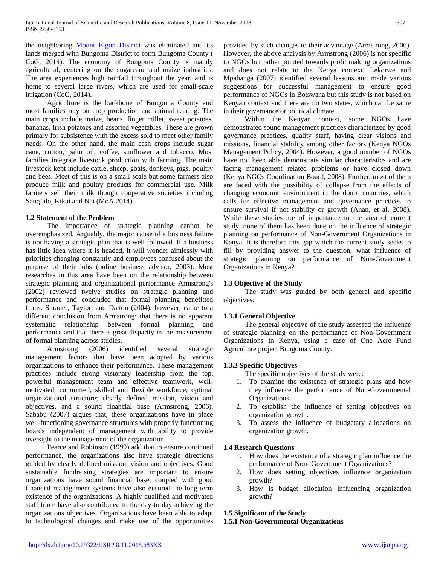the neighboring [Mount Elgon District](https://en.wikipedia.org/wiki/Mount_Elgon_District) was eliminated and its lands merged with Bungoma District to form Bungoma County ( CoG, 2014). The economy of Bungoma County is mainly agricultural, centering on the sugarcane and maize industries. The area experiences high rainfall throughout the year, and is home to several large rivers, which are used for small-scale irrigation (CoG, 2014).

 Agriculture is the backbone of Bungoma County and most families rely on crop production and animal rearing. The main crops include maize, beans, finger millet, sweet potatoes, bananas, Irish potatoes and assorted vegetables. These are grown primary for subsistence with the excess sold to meet other family needs. On the other hand, the main cash crops include sugar cane, cotton, palm oil, coffee, sunflower and tobacco. Most families integrate livestock production with farming. The main livestock kept include cattle, sheep, goats, donkeys, pigs, poultry and bees. Most of this is on a small scale but some farmers also produce milk and poultry products for commercial use. Milk farmers sell their milk though cooperative societies including Sang'alo, Kikai and Nai (MoA 2014).

# **1.2 Statement of the Problem**

 The importance of strategic planning cannot be overemphasized. Arguably, the major cause of a business failure is not having a strategic plan that is well followed. If a business has little idea where it is headed, it will wonder aimlessly with priorities changing constantly and employees confused about the purpose of their jobs (online business advisor, 2003). Most researches in this area have been on the relationship between strategic planning and organizational performance Armstrong's (2002) reviewed twelve studies on strategic planning and performance and concluded that formal planning benefitted firms. Shrader, Taylor, and Dalton (2004), however, came to a different conclusion from Armstrong; that there is no apparent systematic relationship between formal planning and performance and that there is great disparity in the measurement of formal planning across studies.

 Armstrong (2006) identified several strategic management factors that have been adopted by various organizations to enhance their performance. These management practices include strong visionary leadership from the top, powerful management team and effective teamwork, wellmotivated, committed, skilled and flexible workforce; optimal organizational structure; clearly defined mission, vision and objectives, and a sound financial base (Armstrong, 2006). Sababu (2007) argues that, these organizations have in place well-functioning governance structures with properly functioning boards independent of management with ability to provide oversight to the management of the organization.

 Pearce and Robinson (1999) add that to ensure continued performance, the organizations also have strategic directions guided by clearly defined mission, vision and objectives. Good sustainable fundraising strategies are important to ensure organizations have sound financial base, coupled with good financial management systems have also ensured the long term existence of the organizations. A highly qualified and motivated staff force have also contributed to the day-to-day achieving the organizations objectives. Organizations have been able to adapt to technological changes and make use of the opportunities provided by such changes to their advantage (Armstrong, 2006). However, the above analysis by Armstrong (2006) is not specific to NGOs but rather pointed towards profit making organizations and does not relate to the Kenya context. Lekorwe and Mpabanga (2007) identified several lessons and made various suggestions for successful management to ensure good performance of NGOs in Botswana but this study is not based on Kenyan context and there are no two states, which can be same in their governance or political climate.

 Within the Kenyan context, some NGOs have demonstrated sound management practices characterized by good governance practices, quality staff, having clear visions and missions, financial stability among other factors (Kenya NGOs Management Policy, 2004). However, a good number of NGOs have not been able demonstrate similar characteristics and are facing management related problems or have closed down (Kenya NGOs Coordination Board, 2008). Further, most of them are faced with the possibility of collapse from the effects of changing economic environment in the donor countries, which calls for effective management and governance practices to ensure survival if not stability or growth (Anan, et al, 2008). While these studies are of importance to the area of current study, none of them has been done on the influence of strategic planning on performance of Non-Government Organizations in Kenya. It is therefore this gap which the current study seeks to fill by providing answer to the question, what influence of strategic planning on performance of Non-Government Organizations in Kenya?

## **1.3 Objective of the Study**

 The study was guided by both general and specific objectives:

# **1.3.1 General Objective**

 The general objective of the study assessed the influence of strategic planning on the performance of Non-Government Organizations in Kenya, using a case of One Acre Fund Agriculture project Bungoma County.

# **1.3.2 Specific Objectives**

The specific objectives of the study were:

- 1. To examine the existence of strategic plans and how they influence the performance of Non-Governmental Organizations.
- 2. To establish the influence of setting objectives on organization growth.
- 3. To assess the influence of budgetary allocations on organization growth.

## **1.4 Research Questions**

- 1. How does the existence of a strategic plan influence the performance of Non- Government Organizations?
- 2. How does setting objectives influence organization growth?
- 3. How is budget allocation influencing organization growth?

## **1.5 Significant of the Study**

## **1.5.1 Non-Governmental Organizations**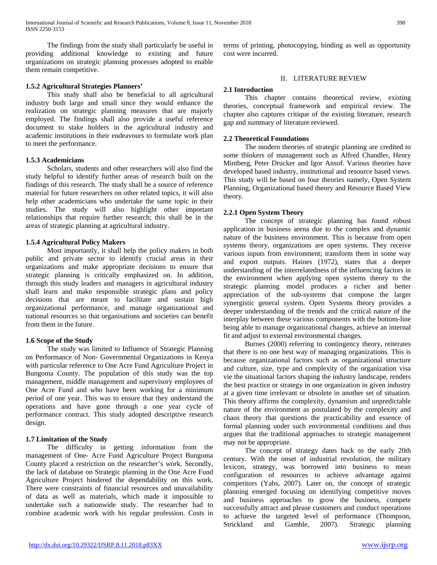The findings from the study shall particularly be useful in providing additional knowledge to existing and future organizations on strategic planning processes adopted to enable them remain competitive.

## **1.5.2 Agricultural Strategies Planners'**

 This study shall also be beneficial to all agricultural industry both large and small since they would enhance the realization on strategic planning measures that are majorly employed. The findings shall also provide a useful reference document to stake holders in the agricultural industry and academic institutions in their endeavours to formulate work plan to meet the performance.

## **1.5.3 Academicians**

 Scholars, students and other researchers will also find the study helpful to identify further areas of research built on the findings of this research. The study shall be a source of reference material for future researchers on other related topics, it will also help other academicians who undertake the same topic in their studies. The study will also highlight other important relationships that require further research; this shall be in the areas of strategic planning at agricultural industry.

## **1.5.4 Agricultural Policy Makers**

 Most importantly, it shall help the policy makers in both public and private sector to identify crucial areas in their organizations and make appropriate decisions to ensure that strategic planning is critically emphasized on. In addition, through this study leaders and managers in agricultural industry shall learn and make responsible strategic plans and policy decisions that are meant to facilitate and sustain high organizational performance, and manage organizational and national resources so that organisations and societies can benefit from them in the future.

## **1.6 Scope of the Study**

 The study was limited to Influence of Strategic Planning on Performance of Non- Governmental Organizations in Kenya with particular reference to One Acre Fund Agriculture Project in Bungoma County. The population of this study was the top management, middle management and supervisory employees of One Acre Fund and who have been working for a minimum period of one year. This was to ensure that they understand the operations and have gone through a one year cycle of performance contract. This study adopted descriptive research design.

# **1.7 Limitation of the Study**

 The difficulty in getting information from the management of One- Acre Fund Agriculture Project Bungoma County placed a restriction on the researcher's work. Secondly, the lack of database on Strategic planning in the One Acre Fund Agriculture Project hindered the dependability on this work. There were constraints of financial resources and unavailability of data as well as materials, which made it impossible to undertake such a nationwide study. The researcher had to combine academic work with his regular profession. Costs in terms of printing, photocopying, binding as well as opportunity cost were incurred.

#### II. LITERATURE REVIEW

#### **2.1 Introduction**

 This chapter contains theoretical review, existing theories, conceptual framework and empirical review. The chapter also captures critique of the existing literature, research gap and summary of literature reviewed.

#### **2.2 Theoretical Foundations**

 The modern theories of strategic planning are credited to some thinkers of management such as Alfred Chandler, Henry Mintberg, Peter Drucker and Igor Ansof. Various theories have developed based industry, institutional and resource based views. This study will be based on four theories namely, Open System Planning, Organizational based theory and Resource Based View theory.

#### **2.2.1 Open System Theory**

 The concept of strategic planning has found robust application in business arena due to the complex and dynamic nature of the business environment. This is because from open systems theory, organizations are open systems. They receive various inputs from environment; transform them in some way and export outputs. Haines (1972), states that a deeper understanding of the interrelatedness of the influencing factors in the environment when applying open systems theory to the strategic planning model produces a richer and better appreciation of the sub-systems that compose the larger synergistic general system. Open Systems theory provides a deeper understanding of the trends and the critical nature of the interplay between these various components with the bottom-line being able to manage organizational changes, achieve an internal fit and adjust to external environmental changes.

 Burnes (2000) referring to contingency theory, reiterates that there is no one best way of managing organizations. This is because organizational factors such as organizational structure and culture, size, type and complexity of the organization visa vie the situational factors shaping the industry landscape, renders the best practice or strategy in one organization in given industry at a given time irrelevant or obsolete in another set of situation. This theory affirms the complexity, dynamism and unpredictable nature of the environment as postulated by the complexity and chaos theory that questions the practicability and essence of formal planning under such environmental conditions and thus argues that the traditional approaches to strategic management may not be appropriate.

 The concept of strategy dates back to the early 20th century. With the onset of industrial revolution, the military lexicon, strategy, was borrowed into business to mean configuration of resources to achieve advantage against competitors (Yabs, 2007). Later on, the concept of strategic planning emerged focusing on identifying competitive moves and business approaches to grow the business, compete successfully attract and please customers and conduct operations to achieve the targeted level of performance (Thompson, Strickland and Gamble, 2007). Strategic planning Strickland and Gamble, 2007). Strategic planning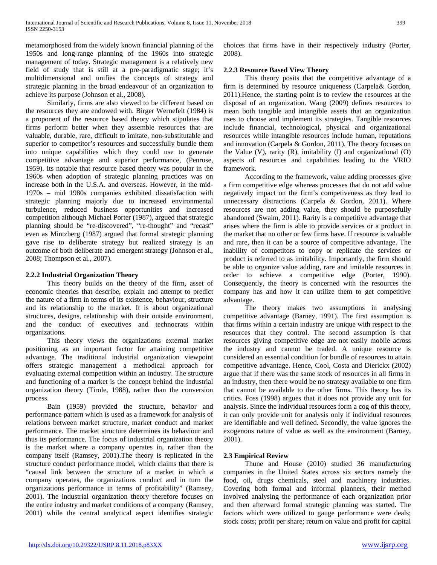metamorphosed from the widely known financial planning of the 1950s and long-range planning of the 1960s into strategic management of today. Strategic management is a relatively new field of study that is still at a pre-paradigmatic stage; it's multidimensional and unifies the concepts of strategy and strategic planning in the broad endeavour of an organization to achieve its purpose (Johnson et al., 2008).

 Similarly, firms are also viewed to be different based on the resources they are endowed with. Birger Wernefelt (1984) is a proponent of the resource based theory which stipulates that firms perform better when they assemble resources that are valuable, durable, rare, difficult to imitate, non-substitutable and superior to competitor's resources and successfully bundle them into unique capabilities which they could use to generate competitive advantage and superior performance, (Penrose, 1959). Its notable that resource based theory was popular in the 1960s when adoption of strategic planning practices was on increase both in the U.S.A. and overseas. However, in the mid-1970s – mid 1980s companies exhibited dissatisfaction with strategic planning majorly due to increased environmental turbulence, reduced business opportunities and increased competition although Michael Porter (1987), argued that strategic planning should be "re-discovered", "re-thought" and "recast" even as Mintzberg (1987) argued that formal strategic planning gave rise to deliberate strategy but realized strategy is an outcome of both deliberate and emergent strategy (Johnson et al., 2008; Thompson et al., 2007).

# **2.2.2 Industrial Organization Theory**

 This theory builds on the theory of the firm, asset of economic theories that describe, explain and attempt to predict the nature of a firm in terms of its existence, behaviour, structure and its relationship to the market. It is about organizational structures, designs, relationship with their outside environment, and the conduct of executives and technocrats within organizations.

 This theory views the organizations external market positioning as an important factor for attaining competitive advantage. The traditional industrial organization viewpoint offers strategic management a methodical approach for evaluating external competition within an industry. The structure and functioning of a market is the concept behind the industrial organization theory (Tirole, 1988), rather than the conversion process.

 Bain (1959) provided the structure, behavior and performance pattern which is used as a framework for analysis of relations between market structure, market conduct and market performance. The market structure determines its behaviour and thus its performance. The focus of industrial organization theory is the market where a company operates in, rather than the company itself (Ramsey, 2001).The theory is replicated in the structure conduct performance model, which claims that there is "causal link between the structure of a market in which a company operates, the organizations conduct and in turn the organizations performance in terms of profitability" (Ramsey, 2001). The industrial organization theory therefore focuses on the entire industry and market conditions of a company (Ramsey, 2001) while the central analytical aspect identifies strategic

choices that firms have in their respectively industry (Porter, 2008).

# **2.2.3 Resource Based View Theory**

 This theory posits that the competitive advantage of a firm is determined by resource uniqueness (Carpela& Gordon, 2011).Hence, the starting point is to review the resources at the disposal of an organization. Wang (2009) defines resources to mean both tangible and intangible assets that an organization uses to choose and implement its strategies. Tangible resources include financial, technological, physical and organizational resources while intangible resources include human, reputations and innovation (Carpela & Gordon, 2011). The theory focuses on the Value (V), rarity (R), imitability (I) and organizational (O) aspects of resources and capabilities leading to the VRIO framework.

 According to the framework, value adding processes give a firm competitive edge whereas processes that do not add value negatively impact on the firm's competiveness as they lead to unnecessary distractions (Carpela & Gordon, 2011). Where resources are not adding value, they should be purposefully abandoned (Swaim, 2011). Rarity is a competitive advantage that arises where the firm is able to provide services or a product in the market that no other or few firms have. If resource is valuable and rare, then it can be a source of competitive advantage. The inability of competitors to copy or replicate the services or product is referred to as imitability. Importantly, the firm should be able to organize value adding, rare and imitable resources in order to achieve a competitive edge (Porter, 1990). Consequently, the theory is concerned with the resources the company has and how it can utilize them to get competitive advantage.

 The theory makes two assumptions in analysing competitive advantage (Barney, 1991). The first assumption is that firms within a certain industry are unique with respect to the resources that they control. The second assumption is that resources giving competitive edge are not easily mobile across the industry and cannot be traded. A unique resource is considered an essential condition for bundle of resources to attain competitive advantage. Hence, Cool, Costa and Dierickx (2002) argue that if there was the same stock of resources in all firms in an industry, then there would be no strategy available to one firm that cannot be available to the other firms. This theory has its critics. Foss (1998) argues that it does not provide any unit for analysis. Since the individual resources form a cog of this theory, it can only provide unit for analysis only if individual resources are identifiable and well defined. Secondly, the value ignores the exogenous nature of value as well as the environment (Barney, 2001).

## **2.3 Empirical Review**

 Thune and House (2010) studied 36 manufacturing companies in the United States across six sectors namely the food, oil, drugs chemicals, steel and machinery industries. Covering both formal and informal planners, their method involved analysing the performance of each organization prior and then afterward formal strategic planning was started. The factors which were utilized to gauge performance were deals; stock costs; profit per share; return on value and profit for capital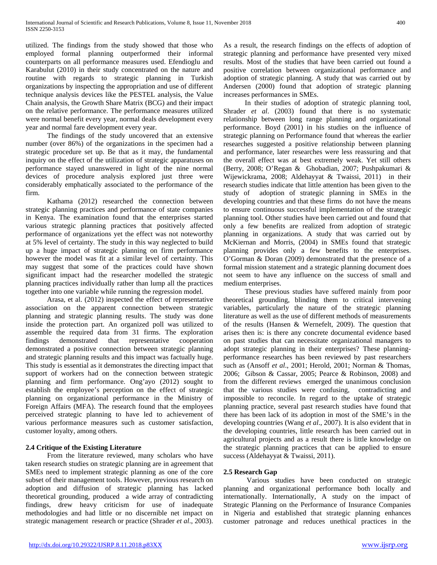utilized. The findings from the study showed that those who employed formal planning outperformed their informal counterparts on all performance measures used. Efendioglu and Karabulut (2010) in their study concentrated on the nature and routine with regards to strategic planning in Turkish organizations by inspecting the appropriation and use of different technique analysis devices like the PESTEL analysis, the Value Chain analysis, the Growth Share Matrix (BCG) and their impact on the relative performance. The performance measures utilized were normal benefit every year, normal deals development every year and normal fare development every year.

 The findings of the study uncovered that an extensive number (over 86%) of the organizations in the specimen had a strategic procedure set up. Be that as it may, the fundamental inquiry on the effect of the utilization of strategic apparatuses on performance stayed unanswered in light of the nine normal devices of procedure analysis explored just three were considerably emphatically associated to the performance of the firm.

 Kathama (2012) researched the connection between strategic planning practices and performance of state companies in Kenya. The examination found that the enterprises started various strategic planning practices that positively affected performance of organizations yet the effect was not noteworthy at 5% level of certainty. The study in this way neglected to build up a huge impact of strategic planning on firm performance however the model was fit at a similar level of certainty. This may suggest that some of the practices could have shown significant impact had the researcher modelled the strategic planning practices individually rather than lump all the practices together into one variable while running the regression model.

 Arasa, et al. (2012) inspected the effect of representative association on the apparent connection between strategic planning and strategic planning results. The study was done inside the protection part. An organized poll was utilized to assemble the required data from 31 firms. The exploration findings demonstrated that representative cooperation demonstrated a positive connection between strategic planning and strategic planning results and this impact was factually huge. This study is essential as it demonstrates the directing impact that support of workers had on the connection between strategic planning and firm performance. Ong'ayo (2012) sought to establish the employee's perception on the effect of strategic planning on organizational performance in the Ministry of Foreign Affairs (MFA). The research found that the employees perceived strategic planning to have led to achievement of various performance measures such as customer satisfaction, customer loyalty, among others.

# **2.4 Critique of the Existing Literature**

 From the literature reviewed, many scholars who have taken research studies on strategic planning are in agreement that SMEs need to implement strategic planning as one of the core subset of their management tools. However, previous research on adoption and diffusion of strategic planning has lacked theoretical grounding, produced a wide array of contradicting findings, drew heavy criticism for use of inadequate methodologies and had little or no discernible net impact on strategic management research or practice (Shrader *et al*., 2003). As a result, the research findings on the effects of adoption of strategic planning and performance have presented very mixed results. Most of the studies that have been carried out found a positive correlation between organizational performance and adoption of strategic planning. A study that was carried out by Andersen (2000) found that adoption of strategic planning increases performances in SMEs.

 In their studies of adoption of strategic planning tool, Shrader *et al.* (2003) found that there is no systematic relationship between long range planning and organizational performance. Boyd (2001) in his studies on the influence of strategic planning on Performance found that whereas the earlier researches suggested a positive relationship between planning and performance, later researches were less reassuring and that the overall effect was at best extremely weak. Yet still others (Berry, 2008; O'Regan & Ghobadian, 2007; Pushpakumari & Wijewickrama, 2008; Aldehayyat & Twaissi, 2011) in their research studies indicate that little attention has been given to the study of adoption of strategic planning in SMEs in the developing countries and that these firms do not have the means to ensure continuous successful implementation of the strategic planning tool. Other studies have been carried out and found that only a few benefits are realized from adoption of strategic planning in organizations. A study that was carried out by McKiernan and Morris, (2004) in SMEs found that strategic planning provides only a few benefits to the enterprises. O'Gorman & Doran (2009) demonstrated that the presence of a formal mission statement and a strategic planning document does not seem to have any influence on the success of small and medium enterprises.

 These previous studies have suffered mainly from poor theoretical grounding, blinding them to critical intervening variables, particularly the nature of the strategic planning literature as well as the use of different methods of measurements of the results (Hansen & Wernefelt, 2009). The question that arises then is: is there any concrete documental evidence based on past studies that can necessitate organizational managers to adopt strategic planning in their enterprises? These planningperformance researches has been reviewed by past researchers such as (Ansoff *et al*., 2001; Herold, 2001; Norman & Thomas, 2006; Gibson & Cassar, 2005; Pearce & Robinson, 2008) and from the different reviews emerged the unanimous conclusion that the various studies were confusing, contradicting and impossible to reconcile. In regard to the uptake of strategic planning practice, several past research studies have found that there has been lack of its adoption in most of the SME's in the developing countries (Wang *et al*., 2007). It is also evident that in the developing countries, little research has been carried out in agricultural projects and as a result there is little knowledge on the strategic planning practices that can be applied to ensure success (Aldehayyat & Twaissi, 2011).

# **2.5 Research Gap**

 Various studies have been conducted on strategic planning and organizational performance both locally and internationally. Internationally, A study on the impact of Strategic Planning on the Performance of Insurance Companies in Nigeria and established that strategic planning enhances customer patronage and reduces unethical practices in the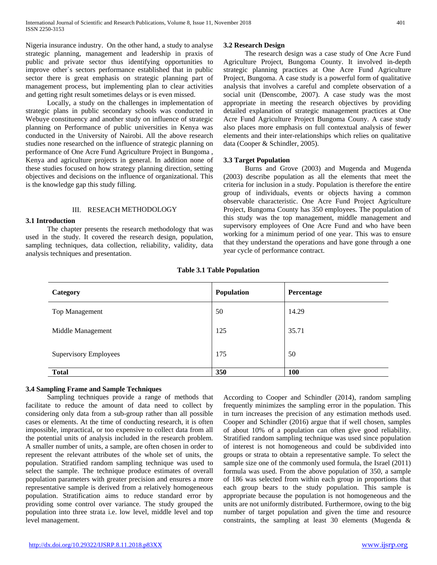Nigeria insurance industry. On the other hand, a study to analyse strategic planning, management and leadership in praxis of public and private sector thus identifying opportunities to improve other`s sectors performance established that in public sector there is great emphasis on strategic planning part of management process, but implementing plan to clear activities and getting right result sometimes delays or is even missed.

 Locally, a study on the challenges in implementation of strategic plans in public secondary schools was conducted in Webuye constituency and another study on influence of strategic planning on Performance of public universities in Kenya was conducted in the University of Nairobi. All the above research studies none researched on the influence of strategic planning on performance of One Acre Fund Agriculture Project in Bungoma , Kenya and agriculture projects in general. In addition none of these studies focused on how strategy planning direction, setting objectives and decisions on the influence of organizational. This is the knowledge gap this study filling.

#### III. RESEACH METHODOLOGY

#### **3.1 Introduction**

 The chapter presents the research methodology that was used in the study. It covered the research design, population, sampling techniques, data collection, reliability, validity, data analysis techniques and presentation.

#### **3.2 Research Design**

 The research design was a case study of One Acre Fund Agriculture Project, Bungoma County. It involved in-depth strategic planning practices at One Acre Fund Agriculture Project, Bungoma. A case study is a powerful form of qualitative analysis that involves a careful and complete observation of a social unit (Denscombe, 2007). A case study was the most appropriate in meeting the research objectives by providing detailed explanation of strategic management practices at One Acre Fund Agriculture Project Bungoma Couny. A case study also places more emphasis on full contextual analysis of fewer elements and their inter-relationships which relies on qualitative data (Cooper & Schindler, 2005).

## **3.3 Target Population**

 Burns and Grove (2003) and Mugenda and Mugenda (2003) describe population as all the elements that meet the criteria for inclusion in a study. Population is therefore the entire group of individuals, events or objects having a common observable characteristic. One Acre Fund Project Agriculture Project, Bungoma County has 350 employees. The population of this study was the top management, middle management and supervisory employees of One Acre Fund and who have been working for a minimum period of one year. This was to ensure that they understand the operations and have gone through a one year cycle of performance contract.

| Category                     | Population | Percentage |
|------------------------------|------------|------------|
| Top Management               | 50         | 14.29      |
| Middle Management            | 125        | 35.71      |
| <b>Supervisory Employees</b> | 175        | 50         |
| <b>Total</b>                 | 350        | 100        |

### **Table 3.1 Table Population**

#### **3.4 Sampling Frame and Sample Techniques**

 Sampling techniques provide a range of methods that facilitate to reduce the amount of data need to collect by considering only data from a sub-group rather than all possible cases or elements. At the time of conducting research, it is often impossible, impractical, or too expensive to collect data from all the potential units of analysis included in the research problem. A smaller number of units, a sample, are often chosen in order to represent the relevant attributes of the whole set of units, the population. Stratified random sampling technique was used to select the sample. The technique produce estimates of overall population parameters with greater precision and ensures a more representative sample is derived from a relatively homogeneous population. Stratification aims to reduce standard error by providing some control over variance. The study grouped the population into three strata i.e. low level, middle level and top level management.

According to Cooper and Schindler (2014), random sampling frequently minimizes the sampling error in the population. This in turn increases the precision of any estimation methods used. Cooper and Schindler (2016) argue that if well chosen, samples of about 10% of a population can often give good reliability. Stratified random sampling technique was used since population of interest is not homogeneous and could be subdivided into groups or strata to obtain a representative sample. To select the sample size one of the commonly used formula, the Israel (2011) formula was used. From the above population of 350, a sample of 186 was selected from within each group in proportions that each group bears to the study population. This sample is appropriate because the population is not homogeneous and the units are not uniformly distributed. Furthermore, owing to the big number of target population and given the time and resource constraints, the sampling at least 30 elements (Mugenda &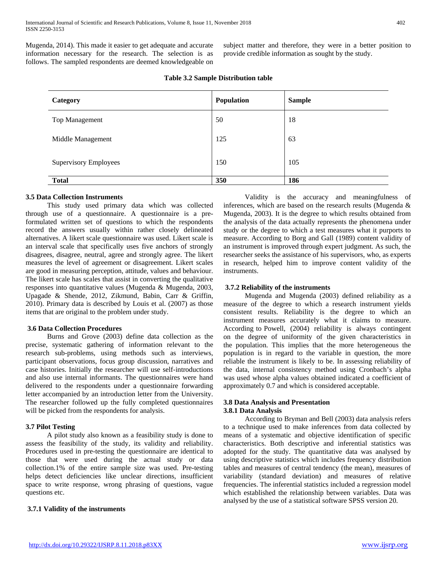Mugenda, 2014). This made it easier to get adequate and accurate information necessary for the research. The selection is as follows. The sampled respondents are deemed knowledgeable on

subject matter and therefore, they were in a better position to provide credible information as sought by the study.

| Category                     | Population | <b>Sample</b> |
|------------------------------|------------|---------------|
| Top Management               | 50         | 18            |
| Middle Management            | 125        | 63            |
| <b>Supervisory Employees</b> | 150        | 105           |
| <b>Total</b>                 | 350        | 186           |
|                              |            |               |

**Table 3.2 Sample Distribution table**

# **3.5 Data Collection Instruments**

 This study used primary data which was collected through use of a questionnaire. A questionnaire is a preformulated written set of questions to which the respondents record the answers usually within rather closely delineated alternatives. A likert scale questionnaire was used. Likert scale is an interval scale that specifically uses five anchors of strongly disagrees, disagree, neutral, agree and strongly agree. The likert measures the level of agreement or disagreement. Likert scales are good in measuring perception, attitude, values and behaviour. The likert scale has scales that assist in converting the qualitative responses into quantitative values (Mugenda & Mugenda, 2003, Upagade & Shende, 2012, Zikmund, Babin, Carr & Griffin, 2010). Primary data is described by Louis et al. (2007) as those items that are original to the problem under study.

## **3.6 Data Collection Procedures**

 Burns and Grove (2003) define data collection as the precise, systematic gathering of information relevant to the research sub-problems, using methods such as interviews, participant observations, focus group discussion, narratives and case histories. Initially the researcher will use self-introductions and also use internal informants. The questionnaires were hand delivered to the respondents under a questionnaire forwarding letter accompanied by an introduction letter from the University. The researcher followed up the fully completed questionnaires will be picked from the respondents for analysis.

## **3.7 Pilot Testing**

 A pilot study also known as a feasibility study is done to assess the feasibility of the study, its validity and reliability. Procedures used in pre-testing the questionnaire are identical to those that were used during the actual study or data collection.1% of the entire sample size was used. Pre-testing helps detect deficiencies like unclear directions, insufficient space to write response, wrong phrasing of questions, vague questions etc.

**3.7.1 Validity of the instruments**

 Validity is the accuracy and meaningfulness of inferences, which are based on the research results (Mugenda & Mugenda, 2003). It is the degree to which results obtained from the analysis of the data actually represents the phenomena under study or the degree to which a test measures what it purports to measure. According to Borg and Gall (1989) content validity of an instrument is improved through expert judgment. As such, the researcher seeks the assistance of his supervisors, who, as experts in research, helped him to improve content validity of the instruments.

#### **3.7.2 Reliability of the instruments**

 Mugenda and Mugenda (2003) defined reliability as a measure of the degree to which a research instrument yields consistent results. Reliability is the degree to which an instrument measures accurately what it claims to measure. According to Powell, (2004) reliability is always contingent on the degree of uniformity of the given characteristics in the population. This implies that the more heterogeneous the population is in regard to the variable in question, the more reliable the instrument is likely to be. In assessing reliability of the data, internal consistency method using Cronbach's alpha was used whose alpha values obtained indicated a coefficient of approximately 0.7 and which is considered acceptable.

## **3.8 Data Analysis and Presentation 3.8.1 Data Analysis**

 According to Bryman and Bell (2003) data analysis refers to a technique used to make inferences from data collected by means of a systematic and objective identification of specific characteristics. Both descriptive and inferential statistics was adopted for the study. The quantitative data was analysed by using descriptive statistics which includes frequency distribution tables and measures of central tendency (the mean), measures of variability (standard deviation) and measures of relative frequencies. The inferential statistics included a regression model which established the relationship between variables. Data was analysed by the use of a statistical software SPSS version 20.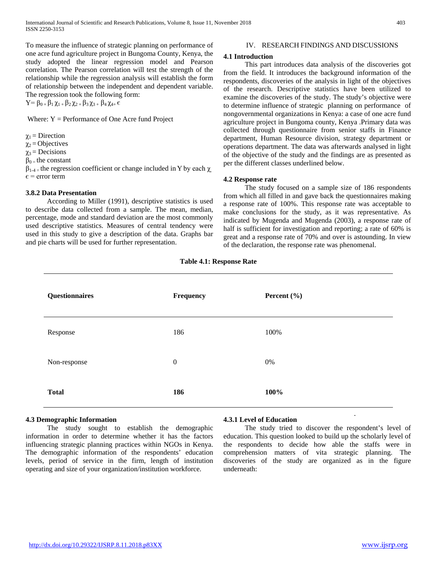To measure the influence of strategic planning on performance of one acre fund agriculture project in Bungoma County, Kenya, the study adopted the linear regression model and Pearson correlation. The Pearson correlation will test the strength of the relationship while the regression analysis will establish the form of relationship between the independent and dependent variable. The regression took the following form:  $Y=\beta_{0+}\beta_1\gamma_{1+}\beta_2\gamma_{2+}\beta_3\gamma_{3+}\beta_4\gamma_{4+}\epsilon$ 

Where:  $Y =$  Performance of One Acre fund Project

 $\chi_1$  = Direction

 $\chi_2$  = Objectives

 $\gamma_3$  = Decisions

 $\beta_{0}$  = the constant

 $β<sub>1-4=</sub>$  the regression coefficient or change included in Y by each  $χ$  $\epsilon$  = error term

#### **3.8.2 Data Presentation**

 According to Miller (1991), descriptive statistics is used to describe data collected from a sample. The mean, median, percentage, mode and standard deviation are the most commonly used descriptive statistics. Measures of central tendency were used in this study to give a description of the data. Graphs bar and pie charts will be used for further representation.

#### IV. RESEARCH FINDINGS AND DISCUSSIONS

#### **4.1 Introduction**

 This part introduces data analysis of the discoveries got from the field. It introduces the background information of the respondents, discoveries of the analysis in light of the objectives of the research. Descriptive statistics have been utilized to examine the discoveries of the study. The study's objective were to determine influence of strategic planning on performance of nongovernmental organizations in Kenya: a case of one acre fund agriculture project in Bungoma county, Kenya .Primary data was collected through questionnaire from senior staffs in Finance department, Human Resource division, strategy department or operations department. The data was afterwards analysed in light of the objective of the study and the findings are as presented as per the different classes underlined below.

#### **4.2 Response rate**

 The study focused on a sample size of 186 respondents from which all filled in and gave back the questionnaires making a response rate of 100%. This response rate was acceptable to make conclusions for the study, as it was representative. As indicated by Mugenda and Mugenda (2003), a response rate of half is sufficient for investigation and reporting; a rate of 60% is great and a response rate of 70% and over is astounding. In view of the declaration, the response rate was phenomenal.

| Questionnaires | Frequency        | Percent $(\% )$ |
|----------------|------------------|-----------------|
| Response       | 186              | 100%            |
| Non-response   | $\boldsymbol{0}$ | 0%              |
| <b>Total</b>   | 186              | 100%            |

#### **Table 4.1: Response Rate**

#### **4.3 Demographic Information**

 The study sought to establish the demographic information in order to determine whether it has the factors influencing strategic planning practices within NGOs in Kenya. The demographic information of the respondents' education levels, period of service in the firm, length of institution operating and size of your organization/institution workforce.

#### **4.3.1 Level of Education**

 The study tried to discover the respondent's level of education. This question looked to build up the scholarly level of the respondents to decide how able the staffs were in comprehension matters of vita strategic planning. The discoveries of the study are organized as in the figure underneath: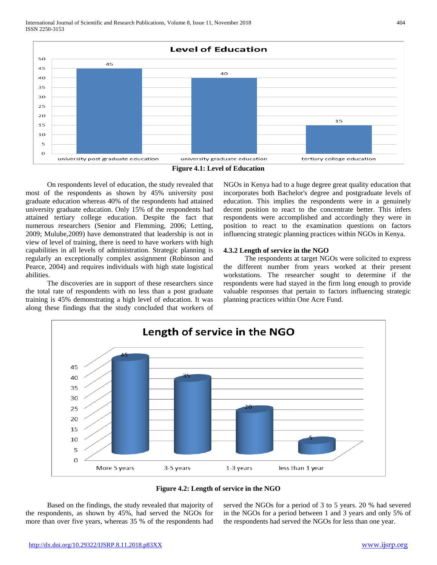



 On respondents level of education, the study revealed that most of the respondents as shown by 45% university post graduate education whereas 40% of the respondents had attained university graduate education. Only 15% of the respondents had attained tertiary college education. Despite the fact that numerous researchers (Senior and Flemming, 2006; Letting, 2009; Mulube,2009) have demonstrated that leadership is not in view of level of training, there is need to have workers with high capabilities in all levels of administration. Strategic planning is regularly an exceptionally complex assignment (Robinson and Pearce, 2004) and requires individuals with high state logistical abilities.

 The discoveries are in support of these researchers since the total rate of respondents with no less than a post graduate training is 45% demonstrating a high level of education. It was along these findings that the study concluded that workers of NGOs in Kenya had to a huge degree great quality education that incorporates both Bachelor's degree and postgraduate levels of education. This implies the respondents were in a genuinely decent position to react to the concentrate better. This infers respondents were accomplished and accordingly they were in position to react to the examination questions on factors influencing strategic planning practices within NGOs in Kenya.

# **4.3.2 Length of service in the NGO**

 The respondents at target NGOs were solicited to express the different number from years worked at their present workstations. The researcher sought to determine if the respondents were had stayed in the firm long enough to provide valuable responses that pertain to factors influencing strategic planning practices within One Acre Fund.





 Based on the findings, the study revealed that majority of the respondents, as shown by 45%, had served the NGOs for more than over five years, whereas 35 % of the respondents had served the NGOs for a period of 3 to 5 years. 20 % had severed in the NGOs for a period between 1 and 3 years and only 5% of the respondents had served the NGOs for less than one year.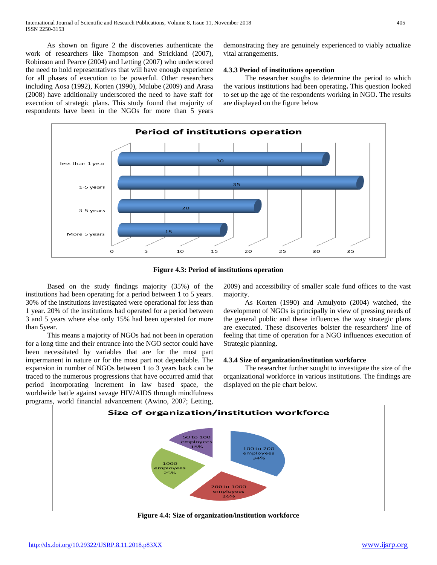As shown on figure 2 the discoveries authenticate the work of researchers like Thompson and Strickland (2007), Robinson and Pearce (2004) and Letting (2007) who underscored the need to hold representatives that will have enough experience for all phases of execution to be powerful. Other researchers including Aosa (1992), Korten (1990), Mulube (2009) and Arasa (2008) have additionally underscored the need to have staff for execution of strategic plans. This study found that majority of respondents have been in the NGOs for more than 5 years

demonstrating they are genuinely experienced to viably actualize vital arrangements.

## **4.3.3 Period of institutions operation**

 The researcher soughs to determine the period to which the various institutions had been operating**.** This question looked to set up the age of the respondents working in NGO**.** The results are displayed on the figure below



**Figure 4.3: Period of institutions operation**

 Based on the study findings majority (35%) of the institutions had been operating for a period between 1 to 5 years. 30% of the institutions investigated were operational for less than 1 year. 20% of the institutions had operated for a period between 3 and 5 years where else only 15% had been operated for more than 5year.

 This means a majority of NGOs had not been in operation for a long time and their entrance into the NGO sector could have been necessitated by variables that are for the most part impermanent in nature or for the most part not dependable. The expansion in number of NGOs between 1 to 3 years back can be traced to the numerous progressions that have occurred amid that period incorporating increment in law based space, the worldwide battle against savage HIV/AIDS through mindfulness programs, world financial advancement (Awino, 2007; Letting,

2009) and accessibility of smaller scale fund offices to the vast majority.

 As Korten (1990) and Amulyoto (2004) watched, the development of NGOs is principally in view of pressing needs of the general public and these influences the way strategic plans are executed. These discoveries bolster the researchers' line of feeling that time of operation for a NGO influences execution of Strategic planning.

#### **4.3.4 Size of organization/institution workforce**

 The researcher further sought to investigate the size of the organizational workforce in various institutions. The findings are displayed on the pie chart below.



**Figure 4.4: Size of organization/institution workforce**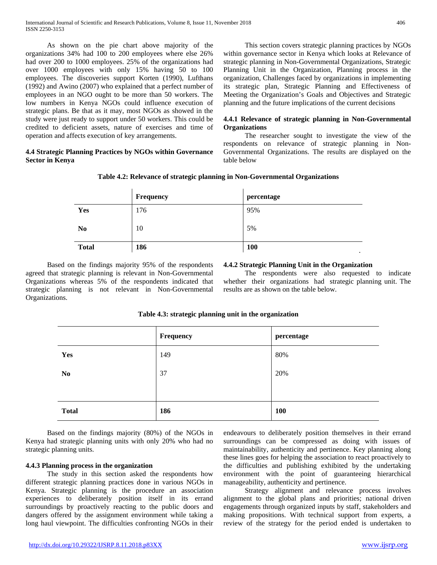As shown on the pie chart above majority of the organizations 34% had 100 to 200 employees where else 26% had over 200 to 1000 employees. 25% of the organizations had over 1000 employees with only 15% having 50 to 100 employees. The discoveries support Korten (1990), Lufthans (1992) and Awino (2007) who explained that a perfect number of employees in an NGO ought to be more than 50 workers. The low numbers in Kenya NGOs could influence execution of strategic plans. Be that as it may, most NGOs as showed in the study were just ready to support under 50 workers. This could be credited to deficient assets, nature of exercises and time of operation and affects execution of key arrangements.

# **4.4 Strategic Planning Practices by NGOs within Governance Sector in Kenya**

 This section covers strategic planning practices by NGOs within governance sector in Kenya which looks at Relevance of strategic planning in Non-Governmental Organizations, Strategic Planning Unit in the Organization, Planning process in the organization, Challenges faced by organizations in implementing its strategic plan, Strategic Planning and Effectiveness of Meeting the Organization's Goals and Objectives and Strategic planning and the future implications of the current decisions

# **4.4.1 Relevance of strategic planning in Non-Governmental Organizations**

 The researcher sought to investigate the view of the respondents on relevance of strategic planning in Non-Governmental Organizations. The results are displayed on the table below

|                | Frequency | percentage          |
|----------------|-----------|---------------------|
| Yes            | 176       | 95%                 |
| N <sub>0</sub> | 10        | 5%                  |
| <b>Total</b>   | 186       | 100<br>$\mathbf{r}$ |

**Table 4.2: Relevance of strategic planning in Non-Governmental Organizations**

 Based on the findings majority 95% of the respondents agreed that strategic planning is relevant in Non-Governmental Organizations whereas 5% of the respondents indicated that strategic planning is not relevant in Non-Governmental Organizations.

# **4.4.2 Strategic Planning Unit in the Organization**

 The respondents were also requested to indicate whether their organizations had strategic planning unit. The results are as shown on the table below.

|                | Frequency | percentage |
|----------------|-----------|------------|
| Yes            | 149       | 80%        |
| N <sub>0</sub> | 37        | 20%        |
|                |           |            |
| <b>Total</b>   | 186       | 100        |

## **Table 4.3: strategic planning unit in the organization**

 Based on the findings majority (80%) of the NGOs in Kenya had strategic planning units with only 20% who had no strategic planning units.

## **4.4.3 Planning process in the organization**

 The study in this section asked the respondents how different strategic planning practices done in various NGOs in Kenya. Strategic planning is the procedure an association experiences to deliberately position itself in its errand surroundings by proactively reacting to the public doors and dangers offered by the assignment environment while taking a long haul viewpoint. The difficulties confronting NGOs in their endeavours to deliberately position themselves in their errand surroundings can be compressed as doing with issues of maintainability, authenticity and pertinence. Key planning along these lines goes for helping the association to react proactively to the difficulties and publishing exhibited by the undertaking environment with the point of guaranteeing hierarchical manageability, authenticity and pertinence.

 Strategy alignment and relevance process involves alignment to the global plans and priorities; national driven engagements through organized inputs by staff, stakeholders and making propositions. With technical support from experts, a review of the strategy for the period ended is undertaken to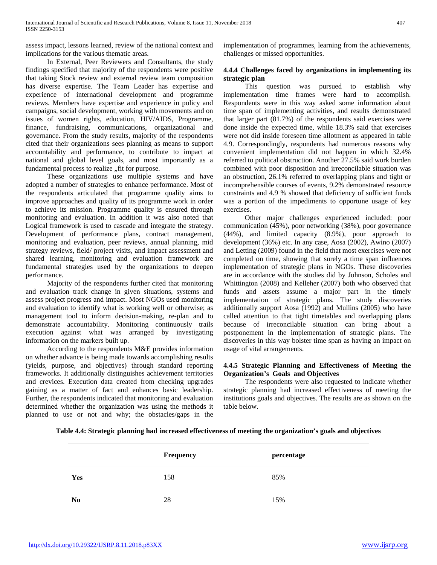assess impact, lessons learned, review of the national context and implications for the various thematic areas.

 In External, Peer Reviewers and Consultants, the study findings specified that majority of the respondents were positive that taking Stock review and external review team composition has diverse expertise. The Team Leader has expertise and experience of international development and programme reviews. Members have expertise and experience in policy and campaigns, social development, working with movements and on issues of women rights, education, HIV/AIDS, Programme, finance, fundraising, communications, organizational and governance. From the study results, majority of the respondents cited that their organizations sees planning as means to support accountability and performance, to contribute to impact at national and global level goals, and most importantly as a fundamental process to realize "fit for purpose.

 These organizations use multiple systems and have adopted a number of strategies to enhance performance. Most of the respondents articulated that programme quality aims to improve approaches and quality of its programme work in order to achieve its mission. Programme quality is ensured through monitoring and evaluation. In addition it was also noted that Logical framework is used to cascade and integrate the strategy. Development of performance plans, contract management, monitoring and evaluation, peer reviews, annual planning, mid strategy reviews, field/ project visits, and impact assessment and shared learning, monitoring and evaluation framework are fundamental strategies used by the organizations to deepen performance.

 Majority of the respondents further cited that monitoring and evaluation track change in given situations, systems and assess project progress and impact. Most NGOs used monitoring and evaluation to identify what is working well or otherwise; as management tool to inform decision-making, re-plan and to demonstrate accountability. Monitoring continuously trails execution against what was arranged by investigating information on the markers built up.

 According to the respondents M&E provides information on whether advance is being made towards accomplishing results (yields, purpose, and objectives) through standard reporting frameworks. It additionally distinguishes achievement territories and crevices. Execution data created from checking upgrades gaining as a matter of fact and enhances basic leadership. Further, the respondents indicated that monitoring and evaluation determined whether the organization was using the methods it planned to use or not and why; the obstacles/gaps in the

implementation of programmes, learning from the achievements, challenges or missed opportunities.

# **4.4.4 Challenges faced by organizations in implementing its strategic plan**

 This question was pursued to establish why implementation time frames were hard to accomplish. Respondents were in this way asked some information about time span of implementing activities, and results demonstrated that larger part (81.7%) of the respondents said exercises were done inside the expected time, while 18.3% said that exercises were not did inside foreseen time allotment as appeared in table 4.9. Correspondingly, respondents had numerous reasons why convenient implementation did not happen in which 32.4% referred to political obstruction. Another 27.5% said work burden combined with poor disposition and irreconcilable situation was an obstruction, 26.1% referred to overlapping plans and tight or incomprehensible courses of events, 9.2% demonstrated resource constraints and 4.9 % showed that deficiency of sufficient funds was a portion of the impediments to opportune usage of key exercises.

 Other major challenges experienced included: poor communication (45%), poor networking (38%), poor governance (44%), and limited capacity (8.9%), poor approach to development (36%) etc. In any case, Aosa (2002), Awino (2007) and Letting (2009) found in the field that most exercises were not completed on time, showing that surely a time span influences implementation of strategic plans in NGOs. These discoveries are in accordance with the studies did by Johnson, Scholes and Whittington (2008) and Kelleher (2007) both who observed that funds and assets assume a major part in the timely implementation of strategic plans. The study discoveries additionally support Aosa (1992) and Mullins (2005) who have called attention to that tight timetables and overlapping plans because of irreconcilable situation can bring about a postponement in the implementation of strategic plans. The discoveries in this way bolster time span as having an impact on usage of vital arrangements.

# **4.4.5 Strategic Planning and Effectiveness of Meeting the Organization's Goals and Objectives**

 The respondents were also requested to indicate whether strategic planning had increased effectiveness of meeting the institutions goals and objectives. The results are as shown on the table below.

| Table 4.4: Strategic planning had increased effectiveness of meeting the organization's goals and objectives |  |  |
|--------------------------------------------------------------------------------------------------------------|--|--|
|                                                                                                              |  |  |

|                | Frequency | percentage |
|----------------|-----------|------------|
| Yes            | 158       | 85%        |
| N <sub>0</sub> | 28        | 15%        |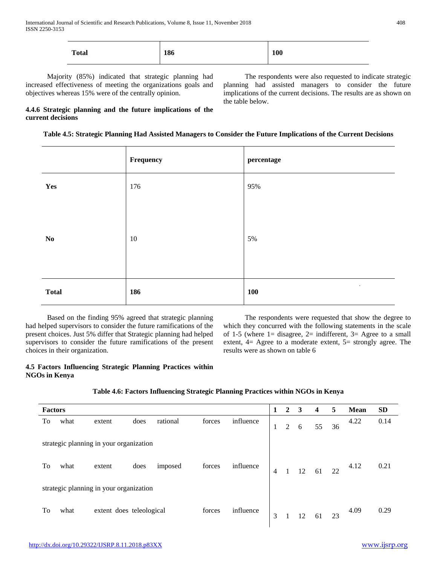| <b>Total</b> | 186 | <b>100</b> |
|--------------|-----|------------|
|--------------|-----|------------|

 Majority (85%) indicated that strategic planning had increased effectiveness of meeting the organizations goals and objectives whereas 15% were of the centrally opinion.

 The respondents were also requested to indicate strategic planning had assisted managers to consider the future implications of the current decisions. The results are as shown on the table below.

# **4.4.6 Strategic planning and the future implications of the current decisions**

**Table 4.5: Strategic Planning Had Assisted Managers to Consider the Future Implications of the Current Decisions**

|                        | Frequency | percentage              |
|------------------------|-----------|-------------------------|
| Yes                    | 176       | 95%                     |
| $\mathbf{N}\mathbf{o}$ | $10\,$    | 5%                      |
| <b>Total</b>           | 186       | $\bullet$<br><b>100</b> |

 Based on the finding 95% agreed that strategic planning had helped supervisors to consider the future ramifications of the present choices. Just 5% differ that Strategic planning had helped supervisors to consider the future ramifications of the present choices in their organization.

 The respondents were requested that show the degree to which they concurred with the following statements in the scale of 1-5 (where  $1 =$  disagree,  $2 =$  indifferent,  $3 =$  Agree to a small extent,  $4=$  Agree to a moderate extent,  $5=$  strongly agree. The results were as shown on table 6

# **4.5 Factors Influencing Strategic Planning Practices within NGOs in Kenya**

| Table 4.6: Factors Influencing Strategic Planning Practices within NGOs in Kenya |  |  |  |  |
|----------------------------------------------------------------------------------|--|--|--|--|
|                                                                                  |  |  |  |  |

|                                         | <b>Factors</b> |                                         |      |          |        |           |                | $\mathbf{2}$   | 3  | $\overline{\mathbf{4}}$ | 5  | <b>Mean</b> | <b>SD</b> |
|-----------------------------------------|----------------|-----------------------------------------|------|----------|--------|-----------|----------------|----------------|----|-------------------------|----|-------------|-----------|
| To                                      | what           | extent                                  | does | rational | forces | influence | 1              | $\overline{2}$ | 6  | 55                      | 36 | 4.22        | 0.14      |
|                                         |                | strategic planning in your organization |      |          |        |           |                |                |    |                         |    |             |           |
| To                                      | what           | extent                                  | does | imposed  | forces | influence | $\overline{4}$ |                | 12 | 61                      | 22 | 4.12        | 0.21      |
| strategic planning in your organization |                |                                         |      |          |        |           |                |                |    |                         |    |             |           |
| To                                      | what           | extent does teleological                |      |          | forces | influence | 3              |                | 12 | 61                      | 23 | 4.09        | 0.29      |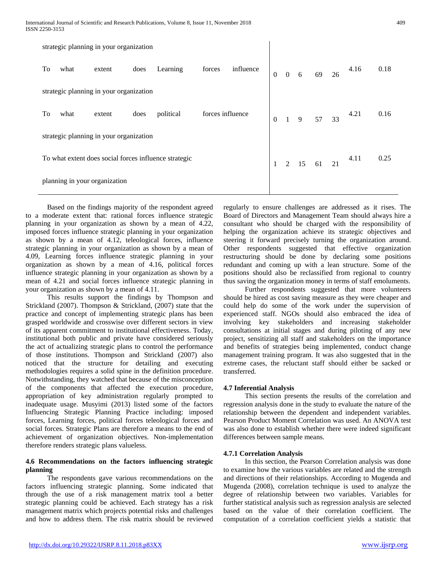|                                                       |      | strategic planning in your organization |      |           |                  |           |                |                    |                   |      |                              |      |
|-------------------------------------------------------|------|-----------------------------------------|------|-----------|------------------|-----------|----------------|--------------------|-------------------|------|------------------------------|------|
| To                                                    | what | extent                                  | does | Learning  | forces           | influence | $\overline{0}$ |                    | $0 \t6 \t69 \t26$ |      | 4.16                         | 0.18 |
|                                                       |      | strategic planning in your organization |      |           |                  |           |                |                    |                   |      |                              |      |
| To                                                    | what | extent                                  | does | political | forces influence |           | $\mathbf{0}$   |                    |                   |      | $1 \t 9 \t 57 \t 33 \t 4.21$ | 0.16 |
|                                                       |      | strategic planning in your organization |      |           |                  |           |                |                    |                   |      |                              |      |
| To what extent does social forces influence strategic |      |                                         |      |           | $\mathbf{1}$     |           |                | $2 \t15 \t61 \t21$ | 4.11              | 0.25 |                              |      |
|                                                       |      | planning in your organization           |      |           |                  |           |                |                    |                   |      |                              |      |

 Based on the findings majority of the respondent agreed to a moderate extent that: rational forces influence strategic planning in your organization as shown by a mean of 4.22, imposed forces influence strategic planning in your organization as shown by a mean of 4.12, teleological forces, influence strategic planning in your organization as shown by a mean of 4.09, Learning forces influence strategic planning in your organization as shown by a mean of 4.16, political forces influence strategic planning in your organization as shown by a mean of 4.21 and social forces influence strategic planning in your organization as shown by a mean of 4.11.

 This results support the findings by Thompson and Strickland (2007). Thompson & Strickland, (2007) state that the practice and concept of implementing strategic plans has been grasped worldwide and crosswise over different sectors in view of its apparent commitment to institutional effectiveness. Today, institutional both public and private have considered seriously the act of actualizing strategic plans to control the performance of those institutions. Thompson and Strickland (2007) also noticed that the structure for detailing and executing methodologies requires a solid spine in the definition procedure. Notwithstanding, they watched that because of the misconception of the components that affected the execution procedure, appropriation of key administration regularly prompted to inadequate usage. Musyimi (2013) listed some of the factors Influencing Strategic Planning Practice including: imposed forces, Learning forces, political forces teleological forces and social forces. Strategic Plans are therefore a means to the end of achievement of organization objectives. Non-implementation therefore renders strategic plans valueless.

# **4.6 Recommendations on the factors influencing strategic planning**

 The respondents gave various recommendations on the factors influencing strategic planning. Some indicated that through the use of a risk management matrix tool a better strategic planning could be achieved. Each strategy has a risk management matrix which projects potential risks and challenges and how to address them. The risk matrix should be reviewed

regularly to ensure challenges are addressed as it rises. The Board of Directors and Management Team should always hire a consultant who should be charged with the responsibility of helping the organization achieve its strategic objectives and steering it forward precisely turning the organization around. Other respondents suggested that effective organization restructuring should be done by declaring some positions redundant and coming up with a lean structure. Some of the positions should also be reclassified from regional to country thus saving the organization money in terms of staff emoluments.

 Further respondents suggested that more volunteers should be hired as cost saving measure as they were cheaper and could help do some of the work under the supervision of experienced staff. NGOs should also embraced the idea of involving key stakeholders and increasing stakeholder consultations at initial stages and during piloting of any new project, sensitizing all staff and stakeholders on the importance and benefits of strategies being implemented, conduct change management training program. It was also suggested that in the extreme cases, the reluctant staff should either be sacked or transferred.

# **4.7 Inferential Analysis**

 This section presents the results of the correlation and regression analysis done in the study to evaluate the nature of the relationship between the dependent and independent variables. Pearson Product Moment Correlation was used. An ANOVA test was also done to establish whether there were indeed significant differences between sample means.

# **4.7.1 Correlation Analysis**

 In this section, the Pearson Correlation analysis was done to examine how the various variables are related and the strength and directions of their relationships. According to Mugenda and Mugenda (2008), correlation technique is used to analyze the degree of relationship between two variables. Variables for further statistical analysis such as regression analysis are selected based on the value of their correlation coefficient. The computation of a correlation coefficient yields a statistic that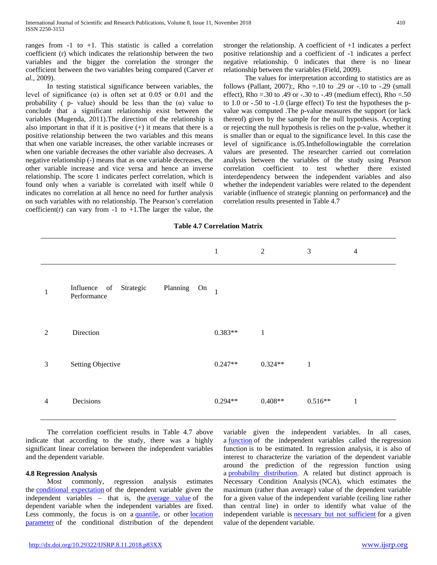ranges from  $-1$  to  $+1$ . This statistic is called a correlation coefficient (r) which indicates the relationship between the two variables and the bigger the correlation the stronger the coefficient between the two variables being compared (Carver *et al.,* 2009).

 In testing statistical significance between variables, the level of significance (α) is often set at 0.05 or 0.01 and the probability (  $p$ - value) should be less than the  $(\alpha)$  value to conclude that a significant relationship exist between the variables (Mugenda, 2011).The direction of the relationship is also important in that if it is positive  $(+)$  it means that there is a positive relationship between the two variables and this means that when one variable increases, the other variable increases or when one variable decreases the other variable also decreases. A negative relationship (-) means that as one variable decreases, the other variable increase and vice versa and hence an inverse relationship. The score 1 indicates perfect correlation, which is found only when a variable is correlated with itself while 0 indicates no correlation at all hence no need for further analysis on such variables with no relationship. The Pearson's correlation coefficient(r) can vary from  $-1$  to  $+1$ . The larger the value, the stronger the relationship. A coefficient of +1 indicates a perfect positive relationship and a coefficient of -1 indicates a perfect negative relationship. 0 indicates that there is no linear relationship between the variables (Field, 2009).

 The values for interpretation according to statistics are as follows (Pallant, 2007):, Rho =  $.10$  to  $.29$  or  $-.10$  to  $-.29$  (small effect), Rho =  $.30$  to  $.49$  or  $-.30$  to  $-.49$  (medium effect), Rho =  $.50$ to 1.0 or -.50 to -1.0 (large effect) To test the hypotheses the pvalue was computed .The p-value measures the support (or lack thereof) given by the sample for the null hypothesis. Accepting or rejecting the null hypothesis is relies on the p-value, whether it is smaller than or equal to the significance level. In this case the level of significance is.05.Inthefollowingtable the correlation values are presented. The researcher carried out correlation analysis between the variables of the study using Pearson correlation coefficient to test whether there existed interdependency between the independent variables and also whether the independent variables were related to the dependent variable (influence of strategic planning on performance**)** and the correlation results presented in Table 4.7

|                |                                                         | $\mathbf{1}$ | 2            | $\mathfrak{Z}$ | $\overline{4}$ |
|----------------|---------------------------------------------------------|--------------|--------------|----------------|----------------|
| 1              | Influence of Strategic<br>Planning<br>On<br>Performance | $\mathbf{1}$ |              |                |                |
| $\overline{2}$ | Direction                                               | $0.383**$    | $\mathbf{1}$ |                |                |
| $\mathfrak{Z}$ | <b>Setting Objective</b>                                | $0.247**$    | $0.324**$    | $\mathbf{1}$   |                |
| 4              | Decisions                                               | $0.294**$    | $0.408**$    | $0.516**$      | $\mathbf{1}$   |

 The correlation coefficient results in Table 4.7 above indicate that according to the study, there was a highly significant linear correlation between the independent variables and the dependent variable.

#### **4.8 Regression Analysis**

 Most commonly, regression analysis estimates the [conditional expectation](https://en.wikipedia.org/wiki/Conditional_expectation) of the dependent variable given the independent variables – that is, the <u>[average value](https://en.wikipedia.org/wiki/Average_value)</u> of the dependent variable when the independent variables are fixed. Less commonly, the focus is on a [quantile,](https://en.wikipedia.org/wiki/Quantile) or other location [parameter](https://en.wikipedia.org/wiki/Location_parameter) of the conditional distribution of the dependent variable given the independent variables. In all cases, a [function](https://en.wikipedia.org/wiki/Function_(mathematics)) of the independent variables called the regression function is to be estimated. In regression analysis, it is also of interest to characterize the variation of the dependent variable around the prediction of the regression function using a [probability distribution.](https://en.wikipedia.org/wiki/Probability_distribution) A related but distinct approach is Necessary Condition Analysis (NCA), which estimates the maximum (rather than average) value of the dependent variable for a given value of the independent variable (ceiling line rather than central line) in order to identify what value of the independent variable is **necessary** but not sufficient for a given value of the dependent variable.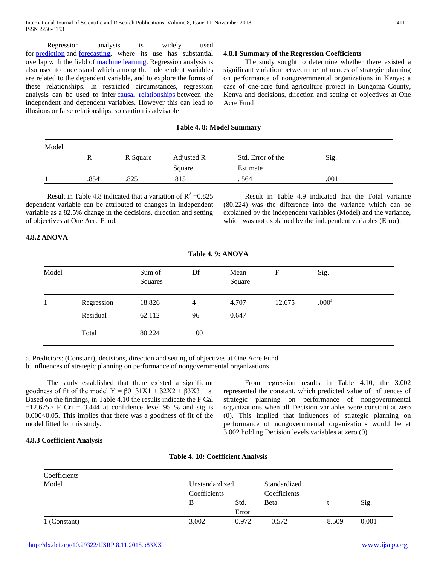Regression analysis is widely used for [prediction](https://en.wikipedia.org/wiki/Prediction) and [forecasting,](https://en.wikipedia.org/wiki/Forecasting) where its use has substantial overlap with the field of [machine learning.](https://en.wikipedia.org/wiki/Machine_learning) Regression analysis is also used to understand which among the independent variables are related to the dependent variable, and to explore the forms of these relationships. In restricted circumstances, regression analysis can be used to infer [causal relationships](https://en.wikipedia.org/wiki/Causality) between the independent and dependent variables. However this can lead to illusions or false relationships, so caution is advisable

## **4.8.1 Summary of the Regression Coefficients**

 The study sought to determine whether there existed a significant variation between the influences of strategic planning on performance of nongovernmental organizations in Kenya: a case of one-acre fund agriculture project in Bungoma County, Kenya and decisions, direction and setting of objectives at One Acre Fund

#### **Table 4. 8: Model Summary**

| Model |                |          |            |                   |      |
|-------|----------------|----------|------------|-------------------|------|
|       | R              | R Square | Adjusted R | Std. Error of the | Sig. |
|       |                |          | Square     | Estimate          |      |
|       | $.854^{\circ}$ | .825     | .815       | . 564             | .001 |

Result in Table 4.8 indicated that a variation of  $R^2 = 0.825$ dependent variable can be attributed to changes in independent variable as a 82.5% change in the decisions, direction and setting of objectives at One Acre Fund.

 Result in Table 4.9 indicated that the Total variance (80.224) was the difference into the variance which can be explained by the independent variables (Model) and the variance, which was not explained by the independent variables (Error).

# **4.8.2 ANOVA**

| Model |            | Sum of<br>Squares | Df  | Mean<br>Square | F      | Sig.              |  |
|-------|------------|-------------------|-----|----------------|--------|-------------------|--|
|       | Regression | 18.826            | 4   | 4.707          | 12.675 | .000 <sup>a</sup> |  |
|       | Residual   | 62.112            | 96  | 0.647          |        |                   |  |
|       | Total      | 80.224            | 100 |                |        |                   |  |
|       |            |                   |     |                |        |                   |  |

**Table 4. 9: ANOVA**

a. Predictors: (Constant), decisions, direction and setting of objectives at One Acre Fund

b. influences of strategic planning on performance of nongovernmental organizations

 The study established that there existed a significant goodness of fit of the model Y =  $\beta$ 0+ $\beta$ 1X1 +  $\beta$ 2X2 +  $\beta$ 3X3 + ε. Based on the findings, in Table 4.10 the results indicate the F Cal  $=12.675>$  F Cri = 3.444 at confidence level 95 % and sig is 0.000<0.05. This implies that there was a goodness of fit of the model fitted for this study.

 From regression results in Table 4.10, the 3.002 represented the constant, which predicted value of influences of strategic planning on performance of nongovernmental organizations when all Decision variables were constant at zero (0). This implied that influences of strategic planning on performance of nongovernmental organizations would be at 3.002 holding Decision levels variables at zero (0).

#### **4.8.3 Coefficient Analysis**

| Table 4. 10: Coefficient Analysis |  |  |
|-----------------------------------|--|--|
|-----------------------------------|--|--|

| Coefficients |                                |       |              |       |       |  |
|--------------|--------------------------------|-------|--------------|-------|-------|--|
| Model        | Unstandardized<br>Coefficients |       | Standardized |       |       |  |
|              |                                |       | Coefficients |       |       |  |
|              | B                              | Std.  | <b>B</b> eta |       | Sig.  |  |
|              |                                | Error |              |       |       |  |
| 1 (Constant) | 3.002                          | 0.972 | 0.572        | 8.509 | 0.001 |  |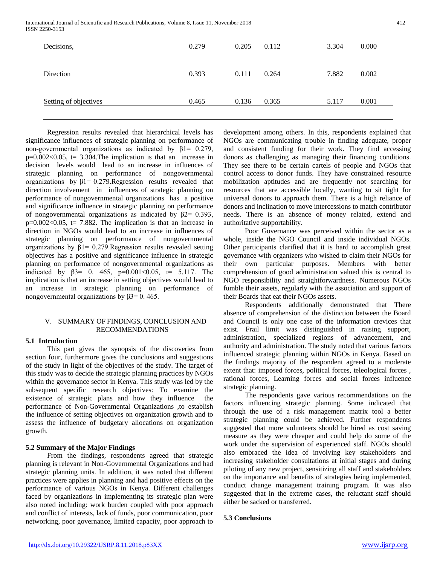| Decisions,            | 0.279 | 0.205 | 0.112 | 3.304 | 0.000 |
|-----------------------|-------|-------|-------|-------|-------|
| Direction             | 0.393 | 0.111 | 0.264 | 7.882 | 0.002 |
| Setting of objectives | 0.465 | 0.136 | 0.365 | 5.117 | 0.001 |

 Regression results revealed that hierarchical levels has significance influences of strategic planning on performance of non-governmental organizations as indicated by β1= 0.279,  $p=0.002<0.05$ , t= 3.304. The implication is that an increase in decision levels would lead to an increase in influences of strategic planning on performance of nongovernmental organizations by  $\beta$ 1= 0.279. Regression results revealed that direction involvement in influences of strategic planning on performance of nongovernmental organizations has a positive and significance influence in strategic planning on performance of nongovernmental organizations as indicated by  $\beta$ 2= 0.393,  $p=0.002<0.05$ ,  $t= 7.882$ . The implication is that an increase in direction in NGOs would lead to an increase in influences of strategic planning on performance of nongovernmental organizations by β1= 0.279.Regression results revealed setting objectives has a positive and significance influence in strategic planning on performance of nongovernmental organizations as indicated by  $β3 = 0$ . 465,  $p=0.001 < 0.05$ ,  $t = 5.117$ . The implication is that an increase in setting objectives would lead to an increase in strategic planning on performance of nongovernmental organizations by  $β3=0$ . 465.

# V. SUMMARY OF FINDINGS, CONCLUSION AND RECOMMENDATIONS

# **5.1 Introduction**

 This part gives the synopsis of the discoveries from section four, furthermore gives the conclusions and suggestions of the study in light of the objectives of the study. The target of this study was to decide the strategic planning practices by NGOs within the governance sector in Kenya. This study was led by the subsequent specific research objectives: To examine the existence of strategic plans and how they influence the performance of Non-Governmental Organizations ,to establish the influence of setting objectives on organization growth and to assess the influence of budgetary allocations on organization growth.

## **5.2 Summary of the Major Findings**

 From the findings, respondents agreed that strategic planning is relevant in Non-Governmental Organizations and had strategic planning units. In addition, it was noted that different practices were applies in planning and had positive effects on the performance of various NGOs in Kenya. Different challenges faced by organizations in implementing its strategic plan were also noted including: work burden coupled with poor approach and conflict of interests, lack of funds, poor communication, poor networking, poor governance, limited capacity, poor approach to development among others. In this, respondents explained that NGOs are communicating trouble in finding adequate, proper and consistent funding for their work. They find accessing donors as challenging as managing their financing conditions. They see there to be certain cartels of people and NGOs that control access to donor funds. They have constrained resource mobilization aptitudes and are frequently not searching for resources that are accessible locally, wanting to sit tight for universal donors to approach them. There is a high reliance of donors and inclination to move intercessions to match contributor needs. There is an absence of money related, extend and authoritative supportability.

 Poor Governance was perceived within the sector as a whole, inside the NGO Council and inside individual NGOs. Other participants clarified that it is hard to accomplish great governance with organizers who wished to claim their NGOs for their own particular purposes. Members with better comprehension of good administration valued this is central to NGO responsibility and straightforwardness. Numerous NGOs fumble their assets, regularly with the association and support of their Boards that eat their NGOs assets.

 Respondents additionally demonstrated that There absence of comprehension of the distinction between the Board and Council is only one case of the information crevices that exist. Frail limit was distinguished in raising support, administration, specialized regions of advancement, and authority and administration. The study noted that various factors influenced strategic planning within NGOs in Kenya. Based on the findings majority of the respondent agreed to a moderate extent that: imposed forces, political forces, teleological forces , rational forces, Learning forces and social forces influence strategic planning.

 The respondents gave various recommendations on the factors influencing strategic planning. Some indicated that through the use of a risk management matrix tool a better strategic planning could be achieved. Further respondents suggested that more volunteers should be hired as cost saving measure as they were cheaper and could help do some of the work under the supervision of experienced staff. NGOs should also embraced the idea of involving key stakeholders and increasing stakeholder consultations at initial stages and during piloting of any new project, sensitizing all staff and stakeholders on the importance and benefits of strategies being implemented, conduct change management training program. It was also suggested that in the extreme cases, the reluctant staff should either be sacked or transferred.

# **5.3 Conclusions**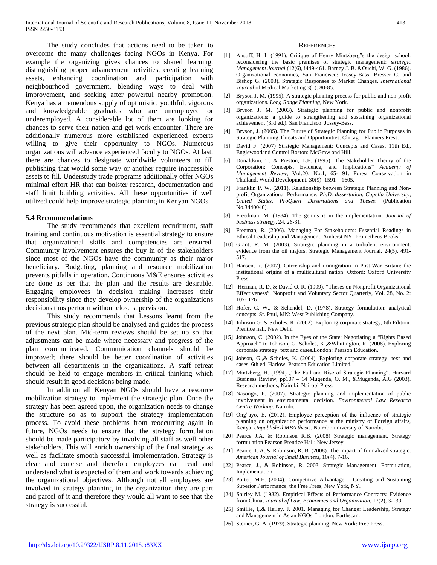The study concludes that actions need to be taken to overcome the many challenges facing NGOs in Kenya. For example the organizing gives chances to shared learning, distinguishing proper advancement activities, creating learning assets, enhancing coordination and participation with neighbourhood government, blending ways to deal with improvement, and seeking after powerful nearby promotion. Kenya has a tremendous supply of optimistic, youthful, vigorous and knowledgeable graduates who are unemployed or underemployed. A considerable lot of them are looking for chances to serve their nation and get work encounter. There are additionally numerous more established experienced experts willing to give their opportunity to NGOs. Numerous organizations will advance experienced faculty to NGOs. At last, there are chances to designate worldwide volunteers to fill publishing that would some way or another require inaccessible assets to fill. Understudy trade programs additionally offer NGOs minimal effort HR that can bolster research, documentation and staff limit building activities. All these opportunities if well utilized could help improve strategic planning in Kenyan NGOs.

#### **5.4 Recommendations**

 The study recommends that excellent recruitment, staff training and continuous motivation is essential strategy to ensure that organizational skills and competencies are ensured. Community involvement ensures the buy in of the stakeholders since most of the NGOs have the community as their major beneficiary. Budgeting, planning and resource mobilization prevents pitfalls in operation. Continuous M&E ensures activities are done as per that the plan and the results are desirable. Engaging employees in decision making increases their responsibility since they develop ownership of the organizations decisions thus perform without close supervision.

 This study recommends that Lessons learnt from the previous strategic plan should be analysed and guides the process of the next plan. Mid-term reviews should be set up so that adjustments can be made where necessary and progress of the plan communicated. Communication channels should be improved; there should be better coordination of activities between all departments in the organizations. A staff retreat should be held to engage members in critical thinking which should result in good decisions being made.

 In addition all Kenyan NGOs should have a resource mobilization strategy to implement the strategic plan. Once the strategy has been agreed upon, the organization needs to change the structure so as to support the strategy implementation process. To avoid these problems from reoccurring again in future, NGOs needs to ensure that the strategy formulation should be made participatory by involving all staff as well other stakeholders. This will enrich ownership of the final strategy as well as facilitate smooth successful implementation. Strategy is clear and concise and therefore employees can read and understand what is expected of them and work towards achieving the organizational objectives. Although not all employees are involved in strategy planning in the organization they are part and parcel of it and therefore they would all want to see that the strategy is successful.

#### **REFERENCES**

- [1] Ansoff, H. I. (1991). Critique of Henry Mintzberg"s the design school: reconsidering the basic premises of strategic management: *strategic Management Journal* (12(6), i449-461. Barney J. B. &Ouchi, W. G. (1986). Organizational economics, San Francisco: Jossey-Bass. Bresser C. and Bishop G. (2003). Strategic Responses to Market Changes. *International Journal* of Medical Marketing 3(1): 80-85.
- [2] Bryson J. M. (1995). A strategic planning process for public and non-profit organizations. *Long Range Planning*, New York.
- [3] Bryson J. M. (2003). Strategic planning for public and nonprofit organizations: a guide to strengthening and sustaining organizational achievement (3rd ed.). San Francisco: Jossey-Bass.
- [4] Bryson, J. (2005). The Future of Strategic Planning for Public Purposes in Strategic Planning:Threats and Opportunities. Chicago: Planners Press.
- [5] David F. (2007) Strategic Management: Concepts and Cases, 11th Ed., Englewoodand Control.Boston: McGraw and Hill.
- [6] Donaldson, T. & Preston, L.E. (1995): The Stakeholder Theory of the Corporation: Concepts, Evidence, and Implications" *Academy of Management Review*, Vol.20, No.1, 65- 91. Forest Conservation in Thailand. World Development. 30(9): 1591 – 1605.
- [7] Franklin P. W. (2011). Relationship between Strategic Planning and Nonprofit Organizational Performance. *Ph.D. dissertation, Capella University, United States. ProQuest Dissertations and Theses*: (Publication No.3440040).
- [8] Freedman, M. (1984). The genius is in the implementation. *Journal of business strategy*, 24, 26-31.
- [9] Freeman, R. (2006). Managing For Stakeholders: Essential Readings in Ethical Leadership and Management. Amherst NY: Prometheus Books.
- [10] Grant, R. M. (2003). Strategic planning in a turbulent environment: evidence from the oil majors. Strategic Management Journal, 24(5), 491- 517.
- [11] Hansen, R. (2007). Citizenship and immigration in Post-War Britain: the institutional origins of a multicultural nation. Oxford: Oxford University Press.
- [12] Herman, R. D.,& David O. R. (1999). "Theses on Nonprofit Organizational Effectiveness", Nonprofit and Voluntary Sector Quarterly, Vol. 28, No. 2: 107- 126
- [13] Hofer, C. W., & Schendel, D. (1978). Strategy formulation: analytical concepts. St. Paul, MN: West Publishing Company.
- [14] Johnson G. & Scholes, K. (2002), Exploring corporate strategy, 6th Edition: Prentice hall, New Delhi
- [15] Johnson, C. (2002). In the Eyes of the State: Negotiating a "Rights Based Approach" to Johnson, G. Scholes, K.,&Whittington, R. (2008). Exploring corporate strategy: text and cases.London: Pearson Education.
- [16] Johson, G., & Scholes, K. (2004). Exploring corporate strategy: text and cases. 6th ed. Harlow: Pearson Education Limited.
- [17] Mintzberg, H. (1994) "The Fall and Rise of Strategic Planning". Harvard Business Review, pp107 – 14 Mugenda, O. M., &Mugenda, A.G (2003). Research methods, Nairobi: Nairobi Press.
- [18] Nasongo, P. (2007). Strategic planning and implementation of public involvement in environmental decision. *Environmental Law Research Centre Working*. Nairobi.
- [19] Ong"ayo, E. (2012). Employee perception of the influence of strategic planning on organization performance at the ministry of Foreign affairs, Kenya. *Unpublished MBA thesis*. Nairobi: university of Nairobi.
- [20] Pearce J.A. & Robinson R.B. (2008) Strategic management, Strategy formulation Pearson Prentice Hall: New Jersey
- [21] Pearce, J. A., & Robinson, R. B. (2008). The impact of formalized strategic. *American Journal of Small Business,* 10(4), 7-16.
- [22] Pearce, J., & Robinson, R. 2003. Strategic Management: Formulation, Implementation
- [23] Porter, M.E. (2004). Competitive Advantage Creating and Sustaining Superior Performance, the Free Press, New York, NY.
- [24] Shirley M. (1982). Empirical Effects of Performance Contracts: Evidence from China, *Journal of Law, Economics and Organization*, 17(2), 32-39.
- [25] Smillie, I,.& Hailey. J. 2001. Managing for Change: Leadership, Strategy and Management in Asian NGOs. London: Earthscan.
- [26] Steiner, G. A. (1979). Strategic planning. New York: Free Press.